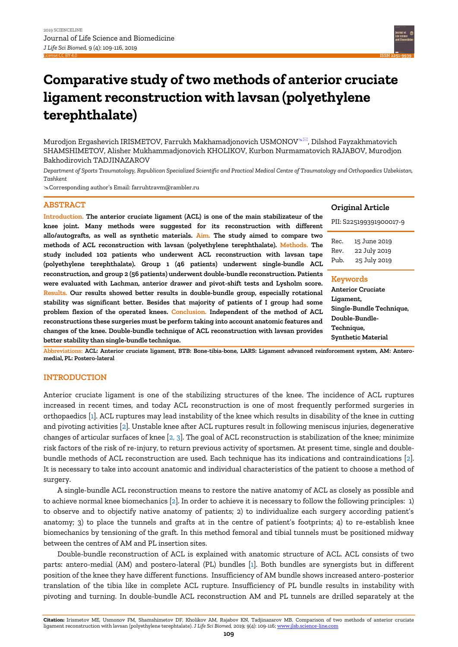

# **Comparative study of two methods of anterior cruciate ligament reconstruction with lavsan (polyethylene terephthalate)**

Murodjon Ergashevich IRISMETOV, Farrukh Makhamadjonovich USMONOV<sup> $\infty$ </sup>, Dilshod Fayzakhmatovich SHAMSHIMETOV, Alisher Mukhammadjonovich KHOLIKOV, Kurbon Nurmamatovich RAJABOV, Murodjon Bakhodirovich TADJINAZAROV

*Department of Sports Traumatology, Republican Specialized Scientific and Practical Medical Centre of Traumatology and Orthopaedics Uzbekistan, Tashkent*

Corresponding author's Email: farruhtravm@rambler.ru

# **ABSTRACT**

**Introduction. The anterior cruciate ligament (ACL) is one of the main stabilizateur of the knee joint. Many methods were suggested for its reconstruction with different allo/autografts, as well as synthetic materials. Aim. The study aimed to compare two methods of ACL reconstruction with lavsan (polyethylene terephthalate). Methods. The study included 102 patients who underwent ACL reconstruction with lavsan tape (polyethylene terephthalate). Group 1 (46 patients) underwent single-bundle ACL reconstruction, and group 2 (56 patients) underwent double-bundle reconstruction. Patients were evaluated with Lachman, anterior drawer and pivot-shift tests and Lysholm score. Results. Our results showed better results in double-bundle group, especially rotational stability was significant better. Besides that majority of patients of I group had some problem flexion of the operated knees. Conclusion. Independent of the method of ACL reconstructions these surgeries must be perform taking into account anatomic features and changes of the knee. Double-bundle technique of ACL reconstruction with lavsan provides better stability than single-bundle technique.** 

# **Original Article**

PII: S225199391900017-9

| 15 June 2019 |
|--------------|
| 22 July 2019 |
| 25 July 2019 |
|              |

#### **Keywords**

**Anterior Cruciate Ligament, Single-Bundle Technique, Double-Bundle-Technique, Synthetic Material**

**Abbreviations: ACL: Anterior cruciate ligament, BTB: Bone-tibia-bone, LARS: Ligament advanced reinforcement system, AM: Anteromedial, PL: Postero-lateral**

# **INTRODUCTION**

Anterior cruciate ligament is one of the stabilizing structures of the knee. The incidence of ACL ruptures increased in recent times, and today ACL reconstruction is one of most frequently performed surgeries in orthopaedics [\[1\]. A](#page-7-0)CL ruptures may lead instability of the knee which results in disability of the knee in cutting and pivoting activities [\[2\].](#page-7-0) Unstable knee after ACL ruptures result in following meniscus injuries, degenerative changes of articular surfaces of knee  $[2, 3]$ . The goal of ACL reconstruction is stabilization of the knee; minimize risk factors of the risk of re-injury, to return previous activity of sportsmen. At present time, single and doublebundle methods of ACL reconstruction are used. Each technique has its indications and contraindications [\[2\].](#page-7-0)  It is necessary to take into account anatomic and individual characteristics of the patient to choose a method of surgery.

A single-bundle ACL reconstruction means to restore the native anatomy of ACL as closely as possible and to achieve normal knee biomechanics [\[2\]. I](#page-7-0)n order to achieve it is necessary to follow the following principles: 1) to observe and to objectify native anatomy of patients; 2) to individualize each surgery according patient's anatomy; 3) to place the tunnels and grafts at in the centre of patient's footprints; 4) to re-establish knee biomechanics by tensioning of the graft. In this method femoral and tibial tunnels must be positioned midway between the centres of AM and PL insertion sites.

Double-bundle reconstruction of ACL is explained with anatomic structure of ACL. ACL consists of two parts: antero-medial (AM) and postero-lateral (PL) bundles [\[1\].](#page-7-0) Both bundles are synergists but in different position of the knee they have different functions. Insufficiency of AM bundle shows increased antero-posterior translation of the tibia like in complete ACL rupture. Insufficiency of PL bundle results in instability with pivoting and turning. In double-bundle ACL reconstruction AM and PL tunnels are drilled separately at the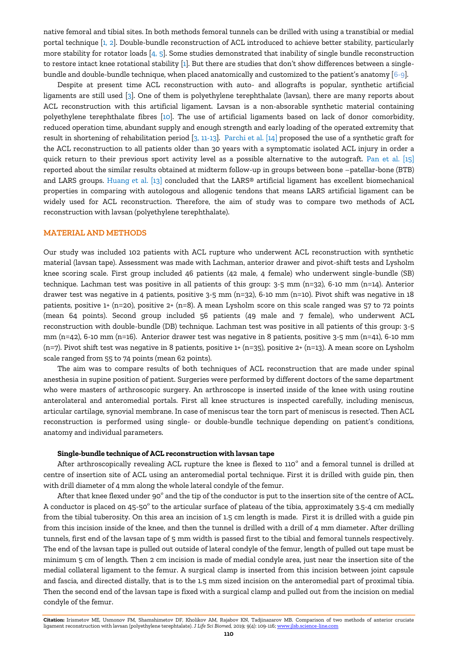native femoral and tibial sites. In both methods femoral tunnels can be drilled with using a transtibial or medial portal technique  $[1, 2]$  $[1, 2]$ . Double-bundle reconstruction of ACL introduced to achieve better stability, particularly more stability for rotator loads [\[4, 5](#page-7-0)]. Some studies demonstrated that inability of single bundle reconstruction to restore intact knee rotational stabilit[y \[1\].](#page-7-0) But there are studies that don't show differences between a singlebundle and double-bundle technique, when placed anatomically and customized to the patient's anatomy [[6-9](#page-7-0)].

Despite at present time ACL reconstruction with auto- and allografts is popular, synthetic artificial ligaments are still used [\[3\].](#page-7-0) One of them is polyethylene terephthalate (lavsan), there are many reports about ACL reconstruction with this artificial ligament. Lavsan is a non-absorable synthetic material containing polyethylene terephthalate fibres [\[10\]](#page-7-0). The use of artificial ligaments based on lack of donor comorbidity, reduced operation time, abundant supply and enough strength and early loading of the operated extremity that result in shortening of rehabilitation period [\[3, 11-13\]. Parchi et al. \[14\]](#page-7-0) proposed the use of a synthetic graft for the ACL reconstruction to all patients older than 30 years with a symptomatic isolated ACL injury in order a quick return to their previous sport activity level as a possible alternative to the autograft. [Pan et al.](#page-7-0) [15] reported about the similar results obtained at midterm follow-up in groups between bone –patellar-bone (BTB) and LARS groups. Huang e[t al. \[13\]](#page-7-0) concluded that the LARS® artificial ligament has excellent biomechanical properties in comparing with autologous and allogenic tendons that means LARS artificial ligament can be widely used for ACL reconstruction. Therefore, the aim of study was to compare two methods of ACL reconstruction with lavsan (polyethylene terephthalate).

# **MATERIAL AND METHODS**

Our study was included 102 patients with ACL rupture who underwent ACL reconstruction with synthetic material (lavsan tape). Assessment was made with Lachman, anterior drawer and pivot-shift tests and Lysholm knee scoring scale. First group included 46 patients (42 male, 4 female) who underwent single-bundle (SB) technique. Lachman test was positive in all patients of this group: 3-5 mm (n=32), 6-10 mm (n=14). Anterior drawer test was negative in 4 patients, positive 3-5 mm (n=32), 6-10 mm (n=10). Pivot shift was negative in 18 patients, positive 1+ (n=20), positive 2+ (n=8). A mean Lysholm score on this scale ranged was 57 to 72 points (mean 64 points). Second group included 56 patients (49 male and 7 female), who underwent ACL reconstruction with double-bundle (DB) technique. Lachman test was positive in all patients of this group: 3-5 mm (n=42), 6-10 mm (n=16). Anterior drawer test was negative in 8 patients, positive 3-5 mm (n=41), 6-10 mm (n=7). Pivot shift test was negative in 8 patients, positive 1+ (n=35), positive 2+ (n=13). A mean score on Lysholm scale ranged from 55 to 74 points (mean 62 points).

The aim was to compare results of both techniques of ACL reconstruction that are made under spinal anesthesia in supine position of patient. Surgeries were performed by different doctors of the same department who were masters of arthroscopic surgery. An arthroscope is inserted inside of the knee with using routine anterolateral and anteromedial portals. First all knee structures is inspected carefully, including meniscus, articular cartilage, synovial membrane. In case of meniscus tear the torn part of meniscus is resected. Then ACL reconstruction is performed using single- or double-bundle technique depending on patient's conditions, anatomy and individual parameters.

#### **Single-bundle technique of ACL reconstruction with lavsan tape**

After arthroscopically revealing ACL rupture the knee is flexed to  $110^{\circ}$  and a femoral tunnel is drilled at centre of insertion site of ACL using an anteromedial portal technique. First it is drilled with guide pin, then with drill diameter of 4 mm along the whole lateral condyle of the femur.

After that knee flexed under 90 $^{\rm o}$  and the tip of the conductor is put to the insertion site of the centre of ACL. A conductor is placed on 45-50 $^{\circ}$  to the articular surface of plateau of the tibia, approximately 3.5-4 cm medially from the tibial tuberosity. On this area an incision of 1.5 cm length is made. First it is drilled with a guide pin from this incision inside of the knee, and then the tunnel is drilled with a drill of 4 mm diameter. After drilling tunnels, first end of the lavsan tape of 5 mm width is passed first to the tibial and femoral tunnels respectively. The end of the lavsan tape is pulled out outside of lateral condyle of the femur, length of pulled out tape must be minimum 5 cm of length. Then 2 cm incision is made of medial condyle area, just near the insertion site of the medial collateral ligament to the femur. A surgical clamp is inserted from this incision between joint capsule and fascia, and directed distally, that is to the 1.5 mm sized incision on the anteromedial part of proximal tibia. Then the second end of the lavsan tape is fixed with a surgical clamp and pulled out from the incision on medial condyle of the femur.

**Citation:** Irismetov ME, Usmonov FM, Shamshimetov DF, Kholikov AM, Rajabov KN, Tadjinazarov MB. Comparison of two methods of anterior cruciate ligament reconstruction with lavsan (polyethylene terephtalate). *J Life Sci Biomed,* 2019; 9(4): 109-116[; www.jlsb.science-line.com](http://www.jlsb.science-line.com/)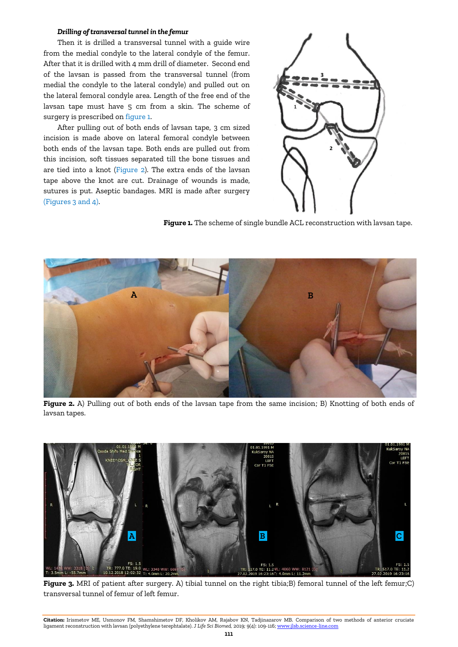#### *Drilling of transversal tunnel in the femur*

Then it is drilled a transversal tunnel with a guide wire from the medial condyle to the lateral condyle of the femur. After that it is drilled with 4 mm drill of diameter. Second end of the lavsan is passed from the transversal tunnel (from medial the condyle to the lateral condyle) and pulled out on the lateral femoral condyle area. Length of the free end of the lavsan tape must have 5 cm from a skin. The scheme of surgery is prescribed on figure 1.

After pulling out of both ends of lavsan tape, 3 cm sized incision is made above on lateral femoral condyle between both ends of the lavsan tape. Both ends are pulled out from this incision, soft tissues separated till the bone tissues and are tied into a knot (Figure 2). The extra ends of the lavsan tape above the knot are cut. Drainage of wounds is made, sutures is put. Aseptic bandages. MRI is made after surgery (Figures 3 and 4).



**Figure 1.** The scheme of single bundle ACL reconstruction with lavsan tape.



**Figure 2.** A) Pulling out of both ends of the lavsan tape from the same incision; B) Knotting of both ends of lavsan tapes.



**Figure 3.** MRI of patient after surgery. A) tibial tunnel on the right tibia;B) femoral tunnel of the left femur;C) transversal tunnel of femur of left femur.

**Citation:** Irismetov ME, Usmonov FM, Shamshimetov DF, Kholikov AM, Rajabov KN, Tadjinazarov MB. Comparison of two methods of anterior cruciate ligament reconstruction with lavsan (polyethylene terephtalate). *J Life Sci Biomed,* 2019; 9(4): 109-116[; www.jlsb.science-line.com](http://www.jlsb.science-line.com/)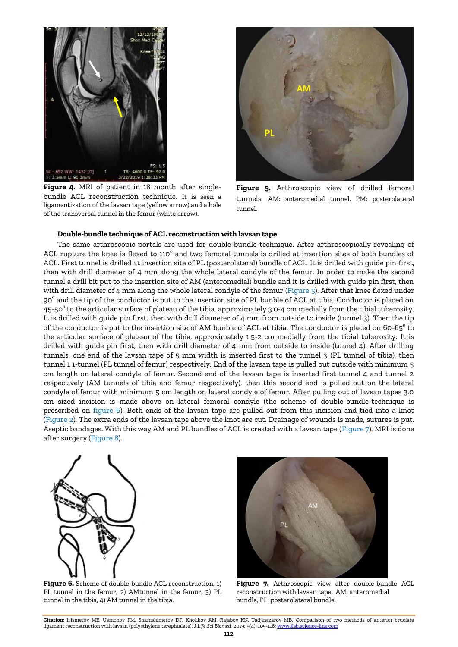

**Figure 4.** MRI of patient in 18 month after singlebundle ACL reconstruction technique. It is seen a ligamentization of the lavsan tape (yellow arrow) and a hole of the transversal tunnel in the femur (white arrow).



**Figure 5.** Arthroscopic view of drilled femoral tunnels. AM: anteromedial tunnel, PM: posterolateral tunnel.

#### **Double-bundle technique of ACL reconstruction with lavsan tape**

The same arthroscopic portals are used for double-bundle technique. After arthroscopically revealing of ACL rupture the knee is flexed to 110 $^{\rm o}$  and two femoral tunnels is drilled at insertion sites of both bundles of ACL. First tunnel is drilled at insertion site of PL (posterolateral) bundle of ACL. It is drilled with guide pin first, then with drill diameter of 4 mm along the whole lateral condyle of the femur. In order to make the second tunnel a drill bit put to the insertion site of AM (anteromedial) bundle and it is drilled with guide pin first, then with drill diameter of 4 mm along the whole lateral condyle of the femur (Figure 5). After that knee flexed under 90° and the tip of the conductor is put to the insertion site of PL bunble of ACL at tibia. Conductor is placed on 45-50 $^{\rm o}$  to the articular surface of plateau of the tibia, approximately 3.0-4 cm medially from the tibial tuberosity. It is drilled with guide pin first, then with drill diameter of 4 mm from outside to inside (tunnel 3). Then the tip of the conductor is put to the insertion site of AM bunble of ACL at tibia. The conductor is placed on 60-65 $^{\circ}$  to the articular surface of plateau of the tibia, approximately 1.5-2 cm medially from the tibial tuberosity. It is drilled with guide pin first, then with drill diameter of 4 mm from outside to inside (tunnel 4). After drilling tunnels, one end of the lavsan tape of 5 mm width is inserted first to the tunnel 3 (PL tunnel of tibia), then tunnel 1 1-tunnel (PL tunnel of femur) respectively. End of the lavsan tape is pulled out outside with minimum 5 cm length on lateral condyle of femur. Second end of the lavsan tape is inserted first tunnel 4 and tunnel 2 respectively (AM tunnels of tibia and femur respectively), then this second end is pulled out on the lateral condyle of femur with minimum 5 cm length on lateral condyle of femur. After pulling out of lavsan tapes 3.0 cm sized incision is made above on lateral femoral condyle (the scheme of double-bundle-technique is prescribed on figure 6). Both ends of the lavsan tape are pulled out from this incision and tied into a knot (Figure 2). The extra ends of the lavsan tape above the knot are cut. Drainage of wounds is made, sutures is put. Aseptic bandages. With this way AM and PL bundles of ACL is created with a lavsan tape (Figure 7). MRI is done after surgery (Figure 8).



**Figure 6.** Scheme of double-bundle ACL reconstruction. 1) PL tunnel in the femur, 2) AMtunnel in the femur, 3) PL tunnel in the tibia, 4) AM tunnel in the tibia.



Figure 7. Arthroscopic view after double-bundle ACL reconstruction with lavsan tape. AM: anteromedial bundle, PL: posterolateral bundle.

**Citation:** Irismetov ME, Usmonov FM, Shamshimetov DF, Kholikov AM, Rajabov KN, Tadjinazarov MB. Comparison of two methods of anterior cruciate ligament reconstruction with lavsan (polyethylene terephtalate). *J Life Sci Biomed,* 2019; 9(4): 109-116[; www.jlsb.science-line.com](http://www.jlsb.science-line.com/)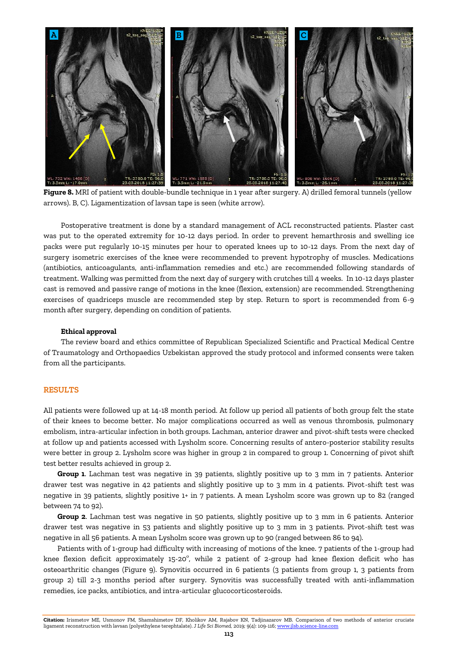

**Figure 8.** MRI of patient with double-bundle technique in 1 year after surgery. A) drilled femoral tunnels (yellow arrows). B, C). Ligamentization of lavsan tape is seen (white arrow).

Postoperative treatment is done by a standard management of ACL reconstructed patients. Plaster cast was put to the operated extremity for 10-12 days period. In order to prevent hemarthrosis and swelling ice packs were put regularly 10-15 minutes per hour to operated knees up to 10-12 days. From the next day of surgery isometric exercises of the knee were recommended to prevent hypotrophy of muscles. Medications (antibiotics, anticoagulants, anti-inflammation remedies and etc.) are recommended following standards of treatment. Walking was permitted from the next day of surgery with crutches till 4 weeks. In 10-12 days plaster cast is removed and passive range of motions in the knee (flexion, extension) are recommended. Strengthening exercises of quadriceps muscle are recommended step by step. Return to sport is recommended from 6-9 month after surgery, depending on condition of patients.

#### **Ethical approval**

The review board and ethics committee of Republican Specialized Scientific and Practical Medical Centre of Traumatology and Orthopaedics Uzbekistan approved the study protocol and informed consents were taken from all the participants.

## **RESULTS**

All patients were followed up at 14-18 month period. At follow up period all patients of both group felt the state of their knees to become better. No major complications occurred as well as venous thrombosis, pulmonary embolism, intra-articular infection in both groups. Lachman, anterior drawer and pivot-shift tests were checked at follow up and patients accessed with Lysholm score. Concerning results of antero-posterior stability results were better in group 2. Lysholm score was higher in group 2 in compared to group 1. Concerning of pivot shift test better results achieved in group 2.

**Group 1**. Lachman test was negative in 39 patients, slightly positive up to 3 mm in 7 patients. Anterior drawer test was negative in 42 patients and slightly positive up to 3 mm in 4 patients. Pivot-shift test was negative in 39 patients, slightly positive 1+ in 7 patients. A mean Lysholm score was grown up to 82 (ranged between 74 to 92).

**Group 2**. Lachman test was negative in 50 patients, slightly positive up to 3 mm in 6 patients. Anterior drawer test was negative in 53 patients and slightly positive up to 3 mm in 3 patients. Pivot-shift test was negative in all 56 patients. A mean Lysholm score was grown up to 90 (ranged between 86 to 94).

Patients with of 1-group had difficulty with increasing of motions of the knee. 7 patients of the 1-group had knee flexion deficit approximately 15-20 $^{\circ}$ , while 2 patient of 2-group had knee flexion deficit who has osteoarthritic changes (Figure 9). Synovitis occurred in 6 patients (3 patients from group 1, 3 patients from group 2) till 2-3 months period after surgery. Synovitis was successfully treated with anti-inflammation remedies, ice packs, antibiotics, and intra-articular glucocorticosteroids.

**Citation:** Irismetov ME, Usmonov FM, Shamshimetov DF, Kholikov AM, Rajabov KN, Tadjinazarov MB. Comparison of two methods of anterior cruciate ligament reconstruction with lavsan (polyethylene terephtalate). *J Life Sci Biomed,* 2019; 9(4): 109-116[; www.jlsb.science-line.com](http://www.jlsb.science-line.com/)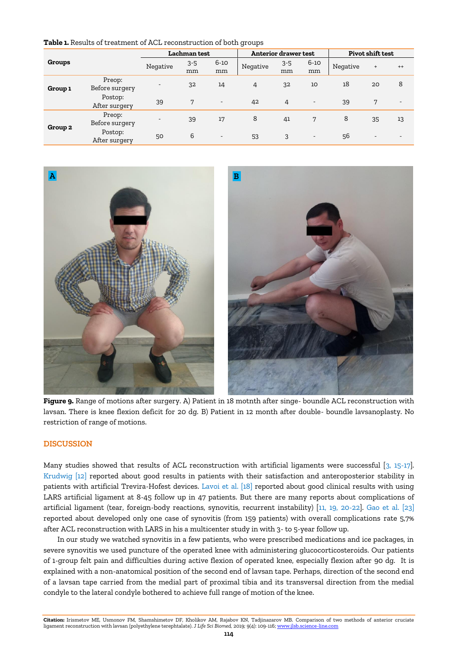| Lachman test                                                              | <b>Anterior draw</b> |
|---------------------------------------------------------------------------|----------------------|
| <b>Table 1.</b> Results of treatment of ACL reconstruction of both groups |                      |

| Groups             |                          | Lachman test             |               |                          | Anterior drawer test |               |                          | Pivot shift test |                          |                          |
|--------------------|--------------------------|--------------------------|---------------|--------------------------|----------------------|---------------|--------------------------|------------------|--------------------------|--------------------------|
|                    |                          | Negative                 | $3 - 5$<br>mm | $6 - 10$<br>mm           | Negative             | $3 - 5$<br>mm | $6 - 10$<br>mm           | Negative         | $^{+}$                   | $^{++}$                  |
| Group 1            | Preop:<br>Before surgery | $\overline{\phantom{a}}$ | 32            | 14                       | 4                    | 32            | 10                       | 18               | 20                       | 8                        |
|                    | Postop:<br>After surgery | 39                       | 7             | $\overline{\phantom{a}}$ | 42                   | 4             | $\overline{\phantom{a}}$ | 39               | 7                        | $\overline{\phantom{a}}$ |
| Group <sub>2</sub> | Preop:<br>Before surgery | $\overline{\phantom{a}}$ | 39            | 17                       | 8                    | 41            | 7                        | 8                | 35                       | 13                       |
|                    | Postop:<br>After surgery | 50                       | 6             | $\overline{\phantom{a}}$ | 53                   | 3             | $\overline{\phantom{a}}$ | 56               | $\overline{\phantom{a}}$ |                          |



**Figure 9.** Range of motions after surgery. A) Patient in 18 motnth after singe- boundle ACL reconstruction with lavsan. There is knee flexion deficit for 20 dg. B) Patient in 12 month after double- boundle lavsanoplasty. No restriction of range of motions.

# **DISCUSSION**

Many studies showed that results of ACL reconstruction with artificial ligaments were successful [3, 15-17]. [Krudwig \[12\]](#page-7-0) reported about good results in patients with their satisfaction and anteroposterior stability in patients with artificial Trevira-Hofest devices. [Lavoi et al.](#page-7-0) [18] reported about good clinical results with using LARS artificial ligament at 8-45 follow up in 47 patients. But there are many reports about complications of artificial ligament (tear, foreign-body reactions, synovitis, recurrent instability) [\[11, 19, 20-22\]. Gao et al. \[23\]](#page-7-0) reported about developed only one case of synovitis (from 159 patients) with overall complications rate 5,7% after ACL reconstruction with LARS in his a multicenter study in with 3- to 5-year follow up.

In our study we watched synovitis in a few patients, who were prescribed medications and ice packages, in severe synovitis we used puncture of the operated knee with administering glucocorticosteroids. Our patients of 1-group felt pain and difficulties during active flexion of operated knee, especially flexion after 90 dg. It is explained with a non-anatomical position of the second end of lavsan tape. Perhaps, direction of the second end of a lavsan tape carried from the medial part of proximal tibia and its transversal direction from the medial condyle to the lateral condyle bothered to achieve full range of motion of the knee.

**Citation:** Irismetov ME, Usmonov FM, Shamshimetov DF, Kholikov AM, Rajabov KN, Tadjinazarov MB. Comparison of two methods of anterior cruciate ligament reconstruction with lavsan (polyethylene terephtalate). *J Life Sci Biomed,* 2019; 9(4): 109-116[; www.jlsb.science-line.com](http://www.jlsb.science-line.com/)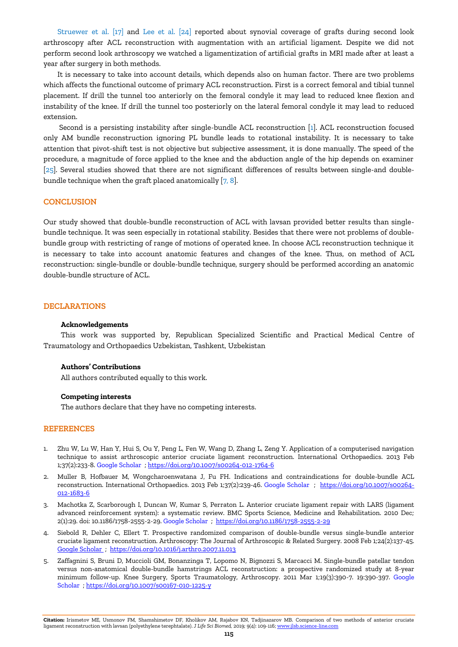Struewer et al. [17] [and Lee et al. \[24\]](#page-7-0) reported about synovial coverage of grafts during second look arthroscopy after ACL reconstruction with augmentation with an artificial ligament. Despite we did not perform second look arthroscopy we watched a ligamentization of artificial grafts in MRI made after at least a year after surgery in both methods.

It is necessary to take into account details, which depends also on human factor. There are two problems which affects the functional outcome of primary ACL reconstruction. First is a correct femoral and tibial tunnel placement. If drill the tunnel too anteriorly on the femoral condyle it may lead to reduced knee flexion and instability of the knee. If drill the tunnel too posteriorly on the lateral femoral condyle it may lead to reduced extension.

Second is a persisting instability after single-bundle ACL reconstruction [1]. ACL reconstruction focused only AM bundle reconstruction ignoring PL bundle leads to rotational instability. It is necessary to take attention that pivot-shift test is not objective but subjective assessment, it is done manually. The speed of the procedure, a magnitude of force applied to the knee and the abduction angle of the hip depends on examiner [25]. Several studies showed that there are not significant differences of results between single-and doublebundle technique when the graft placed anatomically [7, 8].

# **CONCLUSION**

Our study showed that double-bundle reconstruction of ACL with lavsan provided better results than singlebundle technique. It was seen especially in rotational stability. Besides that there were not problems of doublebundle group with restricting of range of motions of operated knee. In choose ACL reconstruction technique it is necessary to take into account anatomic features and changes of the knee. Thus, on method of ACL reconstruction: single-bundle or double-bundle technique, surgery should be performed according an anatomic double-bundle structure of ACL.

## **DECLARATIONS**

#### **Acknowledgements**

This work was supported by, Republican Specialized Scientific and Practical Medical Centre of Traumatology and Orthopaedics Uzbekistan, Tashkent, Uzbekistan

# **Authors' Contributions**

All authors contributed equally to this work.

# **Competing interests**

The authors declare that they have no competing interests.

#### **REFERENCES**

- 1. Zhu W, Lu W, Han Y, Hui S, Ou Y, Peng L, Fen W, Wang D, Zhang L, Zeng Y. Application of a computerised navigation technique to assist arthroscopic anterior cruciate ligament reconstruction. International Orthopaedics. 2013 Feb 1;37(2):233-8. [Google Scholar](https://scholar.google.com/scholar?hl=en&as_sdt=0%2C5&q=1.%09Zhu+W.%2C+Lu+W.%2C+Han+Y.%2C+Hui+Sh.%2C+Ou+Y.%2C+Peng+L.%2C+Fen+W.%2C+Wang+D.%2C++Zhang+L.%2C+Zheng+Y.+2013.+Application+of+a+computerized+navigation+technique+to+assists+arthroscopic+anterior+cruciate+ligament+reconstruction.+International+Orthopaedics.+37%282%29%3A232-238.+&btnG=) [; https://doi.org/10.1007/s00264-012-1764-6](https://doi.org/10.1007/s00264-012-1764-6)
- 2. Muller B, Hofbauer M, Wongcharoenwatana J, Fu FH. Indications and contraindications for double-bundle ACL reconstruction. International Orthopaedics. 2013 Feb 1;37(2):239-46. [Google Scholar](https://scholar.google.com/scholar?hl=en&as_sdt=0%2C5&q=2.%09Muller+B.%2C+Hofbauer+M.%2C+Wongcharoenwatana+J.%2C+Fu+F.H.+2013.+Indications+and+contraindications+for+double-boundle+ACL+reconstruction.++International+Orthopaedics.+37%282%29%3A239-246.+&btnG=) ; [https://doi.org/10.1007/s00264-](https://doi.org/10.1007/s00264-012-1683-6) [012-1683-6](https://doi.org/10.1007/s00264-012-1683-6)
- 3. Machotka Z, Scarborough I, Duncan W, Kumar S, Perraton L. Anterior cruciate ligament repair with LARS (ligament advanced reinforcement system): a systematic review. BMC Sports Science, Medicine and Rehabilitation. 2010 Dec; 2(1):29. doi: 10.1186/1758-2555-2-29[. Google Scholar](https://scholar.google.com/scholar?hl=en&as_sdt=0%2C5&q=3.%09Machotka+S.%2C+Scarborough+I.%2C+Duncan+W.%2C+Kumar+S.%2C+Perraton+L.++2010.+Anterior+cruciate+ligament+repair+with+LARS+%28ligament+advanced+reinforcement+system%29%3A+a+systematic+review.+Sports+Med+Arthrosc+Rehabil+Ther+Technol.+2%2829%29+doi%3A+10.1186%2F1758-2555-2-29&btnG=) ; <https://doi.org/10.1186/1758-2555-2-29>
- 4. Siebold R, Dehler C, Ellert T. Prospective randomized comparison of double-bundle versus single-bundle anterior cruciate ligament reconstruction. Arthroscopy: The Journal of Arthroscopic & Related Surgery. 2008 Feb 1;24(2):137-45. [Google Scholar ;](https://scholar.google.com/scholar?hl=en&as_sdt=0%2C5&q=4.%09Siebold+R%2C+Dehler+C%2C+Ellert+T.+Prospective+randomized+comparison+of+double-bundle+versus+single-bundle+anterior+cruciate+ligament+reconstruction.+Arthroscopy%3A+The+Journal+of+Arthroscopic+%26+Related+Surgery.+2008+Feb+1%3B24%282%29%3A137-45&btnG=)<https://doi.org/10.1016/j.arthro.2007.11.013>
- 5. Zaffagnini S, Bruni D, Muccioli GM, Bonanzinga T, Lopomo N, Bignozzi S, Marcacci M. Single-bundle patellar tendon versus non-anatomical double-bundle hamstrings ACL reconstruction: a prospective randomized study at 8-year minimum follow-up. Knee Surgery, Sports Traumatology, Arthroscopy. 2011 Mar 1;19(3):390-7. 19:390-397. [Google](https://scholar.google.com/scholar?hl=en&as_sdt=0%2C5&q=4.%09Siebold+R.%2C+Dehler+C.%2C+Ellert+T.+2008.+Prospective+randomized+comparison+of+double-bundle+versus+single-bundle+anterior+cruciate+ligamentreconstruction.+Arthroscopy.+24%282%29%3A+137-145.+&btnG=)  [Scholar](https://scholar.google.com/scholar?hl=en&as_sdt=0%2C5&q=4.%09Siebold+R.%2C+Dehler+C.%2C+Ellert+T.+2008.+Prospective+randomized+comparison+of+double-bundle+versus+single-bundle+anterior+cruciate+ligamentreconstruction.+Arthroscopy.+24%282%29%3A+137-145.+&btnG=) [; https://doi.org/10.1007/s00167-010-1225-y](https://doi.org/10.1007/s00167-010-1225-y)

**Citation:** Irismetov ME, Usmonov FM, Shamshimetov DF, Kholikov AM, Rajabov KN, Tadjinazarov MB. Comparison of two methods of anterior cruciate ligament reconstruction with lavsan (polyethylene terephtalate). *J Life Sci Biomed,* 2019; 9(4): 109-116[; www.jlsb.science-line.com](http://www.jlsb.science-line.com/)